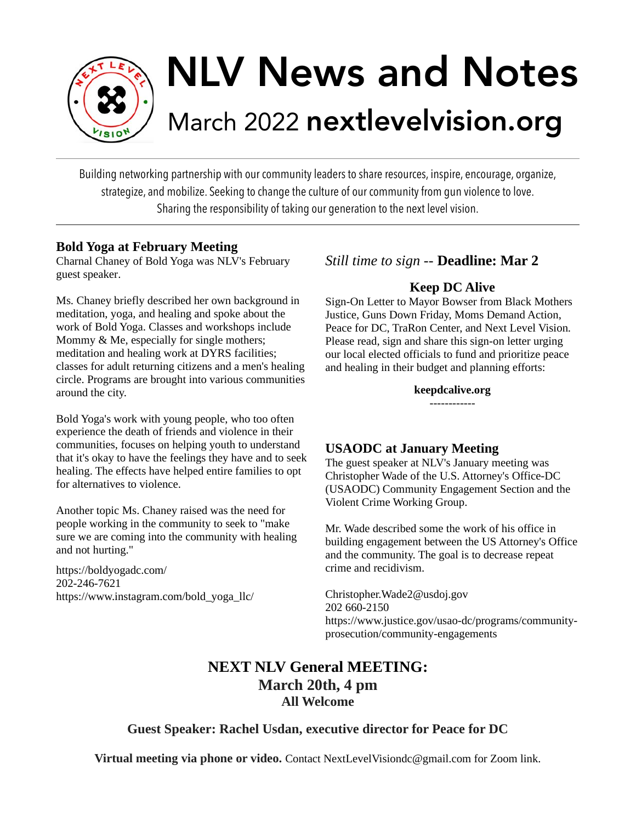

# NLV News and Notes March 2022 nextlevelvision.org

Building networking partnership with our community leaders to share resources, inspire, encourage, organize, strategize, and mobilize. Seeking to change the culture of our community from gun violence to love. Sharing the responsibility of taking our generation to the next level vision.

#### **Bold Yoga at February Meeting**

Charnal Chaney of Bold Yoga was NLV's February guest speaker.

Ms. Chaney briefly described her own background in meditation, yoga, and healing and spoke about the work of Bold Yoga. Classes and workshops include Mommy & Me, especially for single mothers; meditation and healing work at DYRS facilities; classes for adult returning citizens and a men's healing circle. Programs are brought into various communities around the city.

Bold Yoga's work with young people, who too often experience the death of friends and violence in their communities, focuses on helping youth to understand that it's okay to have the feelings they have and to seek healing. The effects have helped entire families to opt for alternatives to violence.

Another topic Ms. Chaney raised was the need for people working in the community to seek to "make sure we are coming into the community with healing and not hurting."

https://boldyogadc.com/ 202-246-7621 https://www.instagram.com/bold\_yoga\_llc/

## *Still time to sign --* **Deadline: Mar 2**

#### **Keep DC Alive**

Sign-On Letter to Mayor Bowser from Black Mothers Justice, Guns Down Friday, Moms Demand Action, Peace for DC, TraRon Center, and Next Level Vision. Please read, sign and share this sign-on letter urging our local elected officials to fund and prioritize peace and healing in their budget and planning efforts:

**keepdcalive.org**

------------

#### **USAODC at January Meeting**

The guest speaker at NLV's January meeting was Christopher Wade of the U.S. Attorney's Office-DC (USAODC) Community Engagement Section and the Violent Crime Working Group.

Mr. Wade described some the work of his office in building engagement between the US Attorney's Office and the community. The goal is to decrease repeat crime and recidivism.

Christopher.Wade2@usdoj.gov 202 660-2150 https://www.justice.gov/usao-dc/programs/communityprosecution/community-engagements

# **NEXT NLV General MEETING: March 20th, 4 pm All Welcome**

#### **Guest Speaker: Rachel Usdan, executive director for Peace for DC**

**Virtual meeting via phone or video.** Contact NextLevelVisiondc@gmail.com for Zoom link.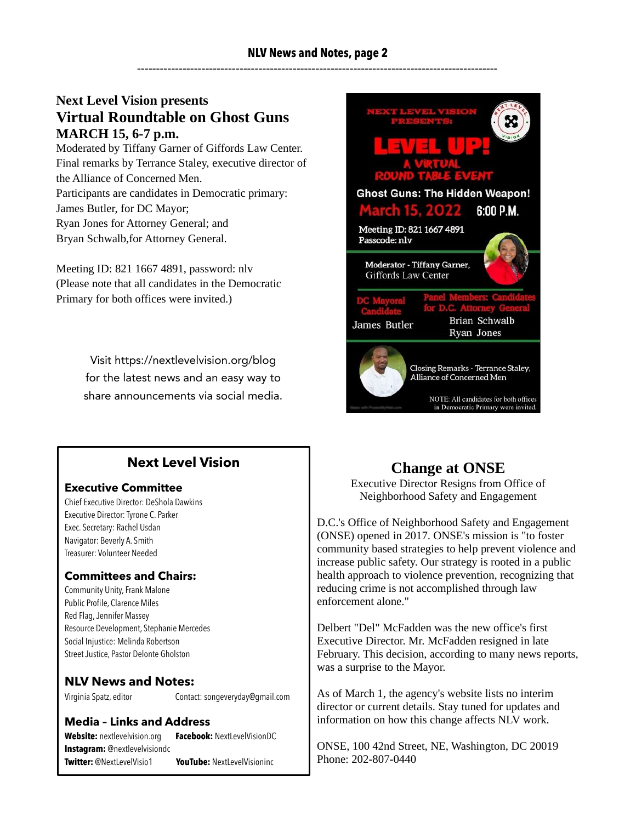#### **NLV News and Notes, page 2** -----------------------------------------------------------------------------------------------

#### **Next Level Vision presents Virtual Roundtable on Ghost Guns MARCH 15, 6-7 p.m.**

Moderated by Tiffany Garner of Giffords Law Center. Final remarks by Terrance Staley, executive director of the Alliance of Concerned Men. Participants are candidates in Democratic primary: James Butler, for DC Mayor; Ryan Jones for Attorney General; and Bryan Schwalb,for Attorney General.

Meeting ID: 821 1667 4891, password: nlv (Please note that all candidates in the Democratic Primary for both offices were invited.)

> Visit https://nextlevelvision.org/blog for the latest news and an easy way to share announcements via social media.



## **Next Level Vision**

#### **Executive Committee**

Chief Executive Director: DeShola Dawkins Executive Director: Tyrone C. Parker Exec. Secretary: Rachel Usdan Navigator: Beverly A. Smith Treasurer: Volunteer Needed

#### **Committees and Chairs:**

Community Unity, Frank Malone Public Profile, Clarence Miles Red Flag, Jennifer Massey Resource Development, Stephanie Mercedes Social Injustice: Melinda Robertson Street Justice, Pastor Delonte Gholston

#### **NLV News and Notes:**

Virginia Spatz, editor Contact: [songeveryday@gmail.com](mailto:songeveryday@gmail.com)

#### **Media – Links and Address**

**Website:** nextlevelvision.org **Facebook:** NextLevelVisionDC **Instagram:** @nextlevelvisiondc **Twitter:** @NextLevelVisio1 **YouTube:** NextLevelVisioninc

# **Change at ONSE**

Executive Director Resigns from Office of Neighborhood Safety and Engagement

D.C.'s Office of Neighborhood Safety and Engagement (ONSE) opened in 2017. ONSE's mission is "to foster community based strategies to help prevent violence and increase public safety. Our strategy is rooted in a public health approach to violence prevention, recognizing that reducing crime is not accomplished through law enforcement alone."

Delbert "Del" McFadden was the new office's first Executive Director. Mr. McFadden resigned in late February. This decision, according to many news reports, was a surprise to the Mayor.

As of March 1, the agency's website lists no interim director or current details. Stay tuned for updates and information on how this change affects NLV work.

ONSE, 100 42nd Street, NE, Washington, DC 20019 Phone: 202-807-0440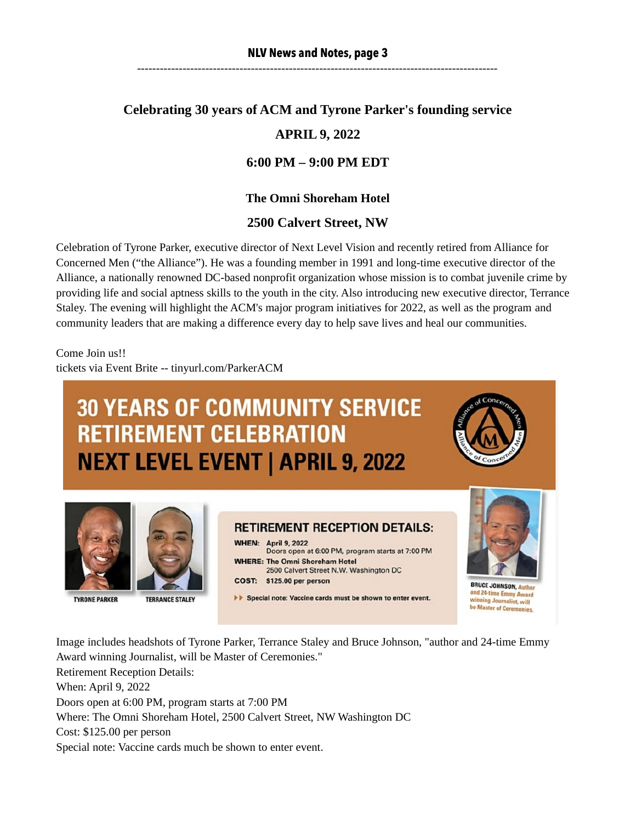# **Celebrating 30 years of ACM and Tyrone Parker's founding service APRIL 9, 2022**

#### **6:00 PM – 9:00 PM EDT**

#### **The Omni Shoreham Hotel**

#### **2500 Calvert Street, NW**

Celebration of Tyrone Parker, executive director of Next Level Vision and recently retired from Alliance for Concerned Men ("the Alliance"). He was a founding member in 1991 and long-time executive director of the Alliance, a nationally renowned DC-based nonprofit organization whose mission is to combat juvenile crime by providing life and social aptness skills to the youth in the city. Also introducing new executive director, Terrance Staley. The evening will highlight the ACM's major program initiatives for 2022, as well as the program and community leaders that are making a difference every day to help save lives and heal our communities.

Come Join us!! tickets via Event Brite -- tinyurl.com/ParkerACM

# **30 YEARS OF COMMUNITY SERVICE RETIREMENT CELEBRATION NEXT LEVEL EVENT | APRIL 9, 2022**







**TYRONE PARKER** 



**WHEN: April 9, 2022** Doors open at 6:00 PM, program starts at 7:00 PM **WHERE: The Omni Shoreham Hotel** 2500 Calvert Street N.W. Washington DC COST: \$125.00 per person

Special note: Vaccine cards must be shown to enter event.

**BRUCE JOHNSON,** and 24-time Emmy Award winning Journalist, will be Master of Ceremonies.

Image includes headshots of Tyrone Parker, Terrance Staley and Bruce Johnson, "author and 24-time Emmy Award winning Journalist, will be Master of Ceremonies." Retirement Reception Details: When: April 9, 2022 Doors open at 6:00 PM, program starts at 7:00 PM Where: The Omni Shoreham Hotel, 2500 Calvert Street, NW Washington DC Cost: \$125.00 per person Special note: Vaccine cards much be shown to enter event.